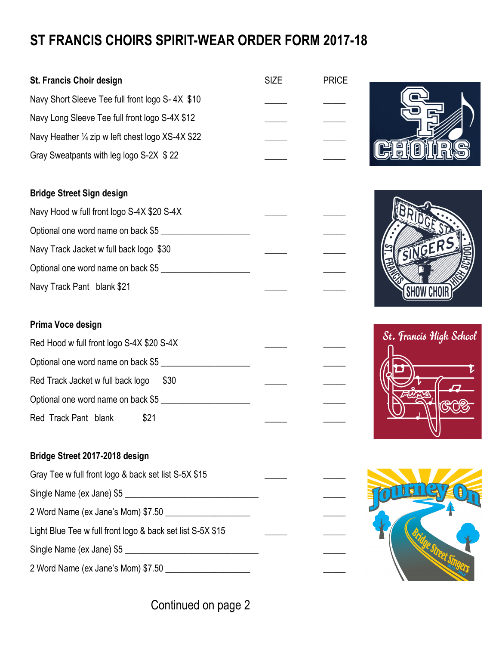## **ST FRANCIS CHOIRS SPIRIT-WEAR ORDER FORM 2017-18**

| St. Francis Choir design                                   | <b>SIZE</b> | <b>PRICE</b> |                         |
|------------------------------------------------------------|-------------|--------------|-------------------------|
| Navy Short Sleeve Tee full front logo S-4X \$10            |             |              |                         |
| Navy Long Sleeve Tee full front logo S-4X \$12             |             |              |                         |
| Navy Heather 1/4 zip w left chest logo XS-4X \$22          |             |              |                         |
| Gray Sweatpants with leg logo S-2X \$22                    |             |              |                         |
|                                                            |             |              |                         |
| <b>Bridge Street Sign design</b>                           |             |              |                         |
| Navy Hood w full front logo S-4X \$20 S-4X                 |             |              |                         |
| Optional one word name on back \$5                         |             |              |                         |
| Navy Track Jacket w full back logo \$30                    |             |              | SINGERS                 |
| Optional one word name on back \$5                         |             |              |                         |
| Navy Track Pant blank \$21                                 |             |              | <b>SHOW CHOI</b>        |
|                                                            |             |              |                         |
| Prima Voce design                                          |             |              | St. Francis High School |
| Red Hood w full front logo S-4X \$20 S-4X                  |             |              |                         |
| Optional one word name on back \$5                         |             |              |                         |
| Red Track Jacket w full back logo<br>\$30                  |             |              |                         |
| Optional one word name on back \$5                         |             |              |                         |
| Red Track Pant blank<br>\$21                               |             |              |                         |
| Bridge Street 2017-2018 design                             |             |              |                         |
| Gray Tee w full front logo & back set list S-5X \$15       |             |              |                         |
| Single Name (ex Jane) \$5                                  |             |              |                         |
|                                                            |             |              |                         |
| Light Blue Tee w full front logo & back set list S-5X \$15 |             |              |                         |
|                                                            |             |              |                         |
| Single Name (ex Jane) \$5                                  |             |              |                         |
|                                                            |             |              |                         |

Continued on page 2